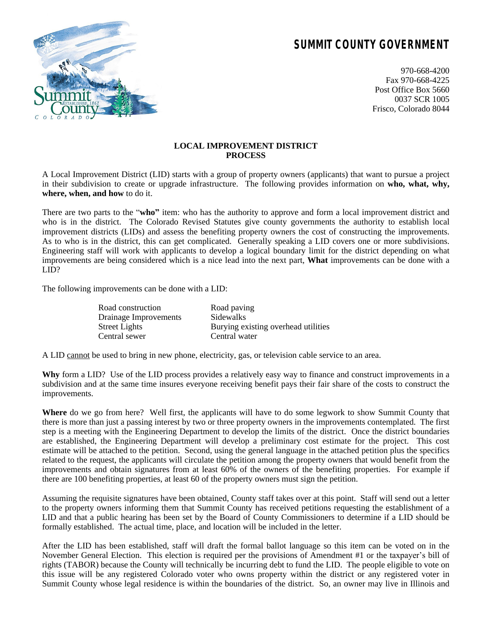## **SUMMIT COUNTY GOVERNMENT**



970-668-4200 Fax 970-668-4225 Post Office Box 5660 0037 SCR 1005 Frisco, Colorado 8044

## **LOCAL IMPROVEMENT DISTRICT PROCESS**

A Local Improvement District (LID) starts with a group of property owners (applicants) that want to pursue a project in their subdivision to create or upgrade infrastructure. The following provides information on **who, what, why, where, when, and how** to do it.

There are two parts to the "**who**" item: who has the authority to approve and form a local improvement district and who is in the district. The Colorado Revised Statutes give county governments the authority to establish local improvement districts (LIDs) and assess the benefiting property owners the cost of constructing the improvements. As to who is in the district, this can get complicated. Generally speaking a LID covers one or more subdivisions. Engineering staff will work with applicants to develop a logical boundary limit for the district depending on what improvements are being considered which is a nice lead into the next part, **What** improvements can be done with a LID?

The following improvements can be done with a LID:

| Road construction     | Road paving                         |
|-----------------------|-------------------------------------|
| Drainage Improvements | Sidewalks                           |
| Street Lights         | Burying existing overhead utilities |
| Central sewer         | Central water                       |
|                       |                                     |

A LID cannot be used to bring in new phone, electricity, gas, or television cable service to an area.

**Why** form a LID? Use of the LID process provides a relatively easy way to finance and construct improvements in a subdivision and at the same time insures everyone receiving benefit pays their fair share of the costs to construct the improvements.

**Where** do we go from here? Well first, the applicants will have to do some legwork to show Summit County that there is more than just a passing interest by two or three property owners in the improvements contemplated. The first step is a meeting with the Engineering Department to develop the limits of the district. Once the district boundaries are established, the Engineering Department will develop a preliminary cost estimate for the project. This cost estimate will be attached to the petition. Second, using the general language in the attached petition plus the specifics related to the request, the applicants will circulate the petition among the property owners that would benefit from the improvements and obtain signatures from at least 60% of the owners of the benefiting properties. For example if there are 100 benefiting properties, at least 60 of the property owners must sign the petition.

Assuming the requisite signatures have been obtained, County staff takes over at this point. Staff will send out a letter to the property owners informing them that Summit County has received petitions requesting the establishment of a LID and that a public hearing has been set by the Board of County Commissioners to determine if a LID should be formally established. The actual time, place, and location will be included in the letter.

After the LID has been established, staff will draft the formal ballot language so this item can be voted on in the November General Election. This election is required per the provisions of Amendment #1 or the taxpayer's bill of rights (TABOR) because the County will technically be incurring debt to fund the LID. The people eligible to vote on this issue will be any registered Colorado voter who owns property within the district or any registered voter in Summit County whose legal residence is within the boundaries of the district. So, an owner may live in Illinois and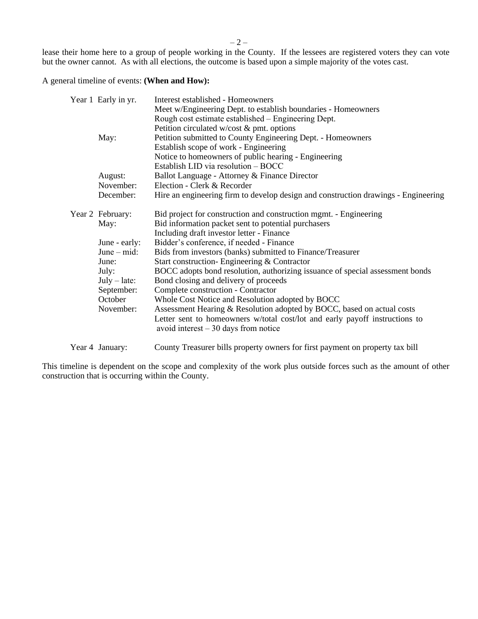$-2-$ 

lease their home here to a group of people working in the County. If the lessees are registered voters they can vote but the owner cannot. As with all elections, the outcome is based upon a simple majority of the votes cast.

A general timeline of events: **(When and How):**

|  | Year 1 Early in yr. | Interest established - Homeowners                                                                                    |
|--|---------------------|----------------------------------------------------------------------------------------------------------------------|
|  |                     | Meet w/Engineering Dept. to establish boundaries - Homeowners                                                        |
|  |                     | Rough cost estimate established – Engineering Dept.                                                                  |
|  |                     | Petition circulated w/cost $&$ pmt. options                                                                          |
|  | May:                | Petition submitted to County Engineering Dept. - Homeowners                                                          |
|  |                     | Establish scope of work - Engineering                                                                                |
|  |                     | Notice to homeowners of public hearing - Engineering                                                                 |
|  |                     | Establish LID via resolution - BOCC                                                                                  |
|  | August:             | Ballot Language - Attorney & Finance Director                                                                        |
|  | November:           | Election - Clerk & Recorder                                                                                          |
|  | December:           | Hire an engineering firm to develop design and construction drawings - Engineering                                   |
|  | Year 2 February:    | Bid project for construction and construction mgmt. - Engineering                                                    |
|  | May:                | Bid information packet sent to potential purchasers                                                                  |
|  |                     | Including draft investor letter - Finance                                                                            |
|  | June - early:       | Bidder's conference, if needed - Finance                                                                             |
|  | June $-$ mid:       | Bids from investors (banks) submitted to Finance/Treasurer                                                           |
|  | June:               | Start construction-Engineering & Contractor                                                                          |
|  | July:               | BOCC adopts bond resolution, authorizing issuance of special assessment bonds                                        |
|  | $July - late:$      | Bond closing and delivery of proceeds                                                                                |
|  | September:          | Complete construction - Contractor                                                                                   |
|  | October             | Whole Cost Notice and Resolution adopted by BOCC                                                                     |
|  | November:           | Assessment Hearing & Resolution adopted by BOCC, based on actual costs                                               |
|  |                     | Letter sent to homeowners w/total cost/lot and early payoff instructions to<br>avoid interest $-30$ days from notice |
|  | Year 4 January:     | County Treasurer bills property owners for first payment on property tax bill                                        |

This timeline is dependent on the scope and complexity of the work plus outside forces such as the amount of other construction that is occurring within the County.